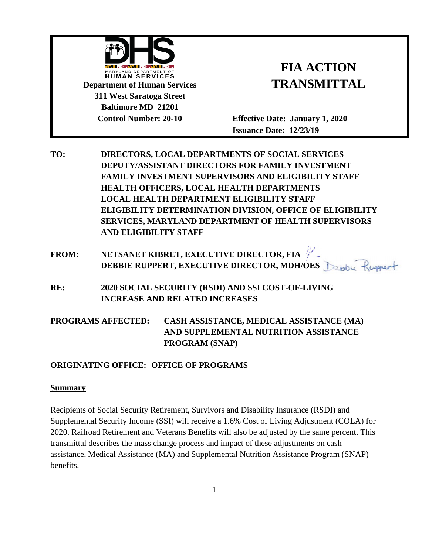| LETNI LENILE<br>MARYLAND DEPARTMENT OF<br><b>HUMAN SERVICES</b><br><b>Department of Human Services</b><br>311 West Saratoga Street<br><b>Baltimore MD 21201</b> | <b>FIA ACTION</b><br><b>TRANSMITTAL</b> |
|-----------------------------------------------------------------------------------------------------------------------------------------------------------------|-----------------------------------------|
| <b>Control Number: 20-10</b>                                                                                                                                    | <b>Effective Date: January 1, 2020</b>  |
|                                                                                                                                                                 | <b>Issuance Date: 12/23/19</b>          |

**TO: DIRECTORS, LOCAL DEPARTMENTS OF SOCIAL SERVICES DEPUTY/ASSISTANT DIRECTORS FOR FAMILY INVESTMENT FAMILY INVESTMENT SUPERVISORS AND ELIGIBILITY STAFF HEALTH OFFICERS, LOCAL HEALTH DEPARTMENTS LOCAL HEALTH DEPARTMENT ELIGIBILITY STAFF ELIGIBILITY DETERMINATION DIVISION, OFFICE OF ELIGIBILITY SERVICES, MARYLAND DEPARTMENT OF HEALTH SUPERVISORS AND ELIGIBILITY STAFF**

**FROM: NETSANET KIBRET, EXECUTIVE DIRECTOR, FIA DEBBIE RUPPERT, EXECUTIVE DIRECTOR, MDH/OES** 

**RE: 2020 SOCIAL SECURITY (RSDI) AND SSI COST-OF-LIVING INCREASE AND RELATED INCREASES**

**PROGRAMS AFFECTED: CASH ASSISTANCE, MEDICAL ASSISTANCE (MA) AND SUPPLEMENTAL NUTRITION ASSISTANCE PROGRAM (SNAP)**

## **ORIGINATING OFFICE: OFFICE OF PROGRAMS**

### **Summary**

Recipients of Social Security Retirement, Survivors and Disability Insurance (RSDI) and Supplemental Security Income (SSI) will receive a 1.6% Cost of Living Adjustment (COLA) for 2020. Railroad Retirement and Veterans Benefits will also be adjusted by the same percent. This transmittal describes the mass change process and impact of these adjustments on cash assistance, Medical Assistance (MA) and Supplemental Nutrition Assistance Program (SNAP) benefits.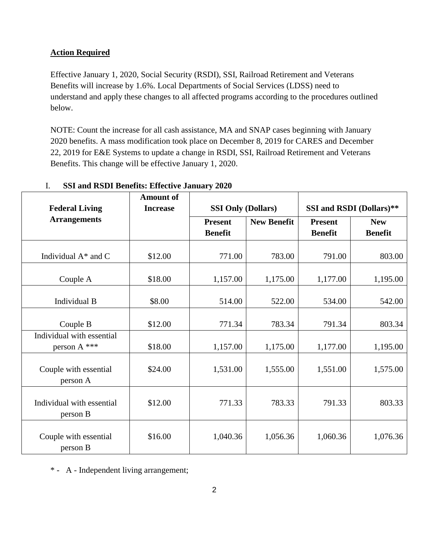## **Action Required**

Effective January 1, 2020, Social Security (RSDI), SSI, Railroad Retirement and Veterans Benefits will increase by 1.6%. Local Departments of Social Services (LDSS) need to understand and apply these changes to all affected programs according to the procedures outlined below.

NOTE: Count the increase for all cash assistance, MA and SNAP cases beginning with January 2020 benefits. A mass modification took place on December 8, 2019 for CARES and December 22, 2019 for E&E Systems to update a change in RSDI, SSI, Railroad Retirement and Veterans Benefits. This change will be effective January 1, 2020.

| <b>Federal Living</b>                     | <b>Amount of</b><br><b>Increase</b> |                                  | <b>SSI Only (Dollars)</b> |                                  | SSI and RSDI (Dollars)**     |  |
|-------------------------------------------|-------------------------------------|----------------------------------|---------------------------|----------------------------------|------------------------------|--|
| <b>Arrangements</b>                       |                                     | <b>Present</b><br><b>Benefit</b> | <b>New Benefit</b>        | <b>Present</b><br><b>Benefit</b> | <b>New</b><br><b>Benefit</b> |  |
| Individual $A^*$ and C                    | \$12.00                             | 771.00                           | 783.00                    | 791.00                           | 803.00                       |  |
| Couple A                                  | \$18.00                             | 1,157.00                         | 1,175.00                  | 1,177.00                         | 1,195.00                     |  |
| Individual B                              | \$8.00                              | 514.00                           | 522.00                    | 534.00                           | 542.00                       |  |
| Couple B                                  | \$12.00                             | 771.34                           | 783.34                    | 791.34                           | 803.34                       |  |
| Individual with essential<br>person A *** | \$18.00                             | 1,157.00                         | 1,175.00                  | 1,177.00                         | 1,195.00                     |  |
| Couple with essential<br>person A         | \$24.00                             | 1,531.00                         | 1,555.00                  | 1,551.00                         | 1,575.00                     |  |
| Individual with essential<br>person B     | \$12.00                             | 771.33                           | 783.33                    | 791.33                           | 803.33                       |  |
| Couple with essential<br>person B         | \$16.00                             | 1,040.36                         | 1,056.36                  | 1,060.36                         | 1,076.36                     |  |

### I. **SSI and RSDI Benefits: Effective January 2020**

\* - A - Independent living arrangement;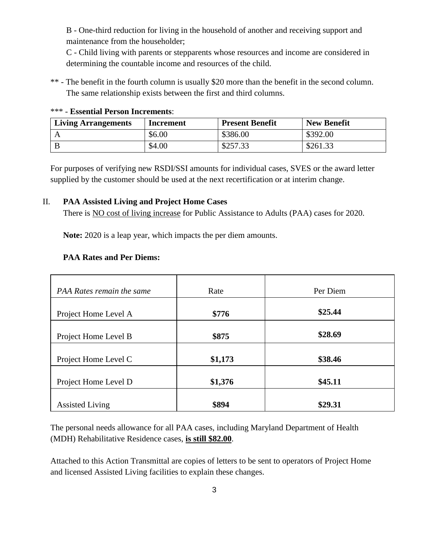B - One-third reduction for living in the household of another and receiving support and maintenance from the householder;

C - Child living with parents or stepparents whose resources and income are considered in determining the countable income and resources of the child.

\*\* - The benefit in the fourth column is usually \$20 more than the benefit in the second column. The same relationship exists between the first and third columns.

| <b>Living Arrangements</b> | Increment | <b>Present Benefit</b> | <b>New Benefit</b> |
|----------------------------|-----------|------------------------|--------------------|
|                            | \$6.00    | \$386.00               | \$392.00           |
|                            | \$4.00    | \$257.33               | \$261.33           |

#### \*\*\* - **Essential Person Increments**:

For purposes of verifying new RSDI/SSI amounts for individual cases, SVES or the award letter supplied by the customer should be used at the next recertification or at interim change.

### II. **PAA Assisted Living and Project Home Cases**

There is NO cost of living increase for Public Assistance to Adults (PAA) cases for 2020.

**Note:** 2020 is a leap year, which impacts the per diem amounts.

### **PAA Rates and Per Diems:**

| PAA Rates remain the same | Rate    | Per Diem |
|---------------------------|---------|----------|
|                           |         |          |
| Project Home Level A      | \$776   | \$25.44  |
| Project Home Level B      | \$875   | \$28.69  |
| Project Home Level C      | \$1,173 | \$38.46  |
| Project Home Level D      | \$1,376 | \$45.11  |
| <b>Assisted Living</b>    | \$894   | \$29.31  |

The personal needs allowance for all PAA cases, including Maryland Department of Health (MDH) Rehabilitative Residence cases, **is still \$82.00**.

Attached to this Action Transmittal are copies of letters to be sent to operators of Project Home and licensed Assisted Living facilities to explain these changes.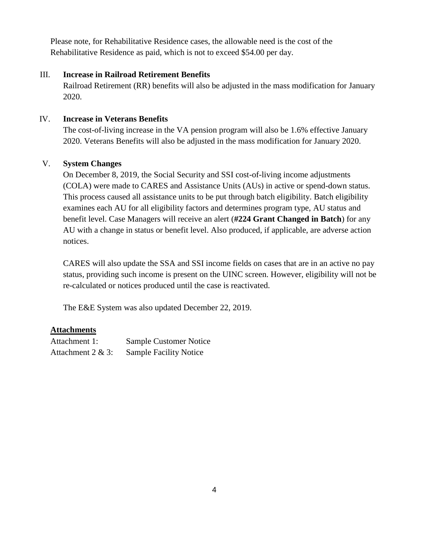Please note, for Rehabilitative Residence cases, the allowable need is the cost of the Rehabilitative Residence as paid, which is not to exceed \$54.00 per day.

## III. **Increase in Railroad Retirement Benefits**

Railroad Retirement (RR) benefits will also be adjusted in the mass modification for January 2020.

## IV. **Increase in Veterans Benefits**

The cost-of-living increase in the VA pension program will also be 1.6% effective January 2020. Veterans Benefits will also be adjusted in the mass modification for January 2020.

## V. **System Changes**

On December 8, 2019, the Social Security and SSI cost-of-living income adjustments (COLA) were made to CARES and Assistance Units (AUs) in active or spend-down status. This process caused all assistance units to be put through batch eligibility. Batch eligibility examines each AU for all eligibility factors and determines program type, AU status and benefit level. Case Managers will receive an alert (**#224 Grant Changed in Batch**) for any AU with a change in status or benefit level. Also produced, if applicable, are adverse action notices.

CARES will also update the SSA and SSI income fields on cases that are in an active no pay status, providing such income is present on the UINC screen. However, eligibility will not be re-calculated or notices produced until the case is reactivated.

The E&E System was also updated December 22, 2019.

## **Attachments**

| Attachment 1:        | <b>Sample Customer Notice</b> |
|----------------------|-------------------------------|
| Attachment $2 & 3$ : | <b>Sample Facility Notice</b> |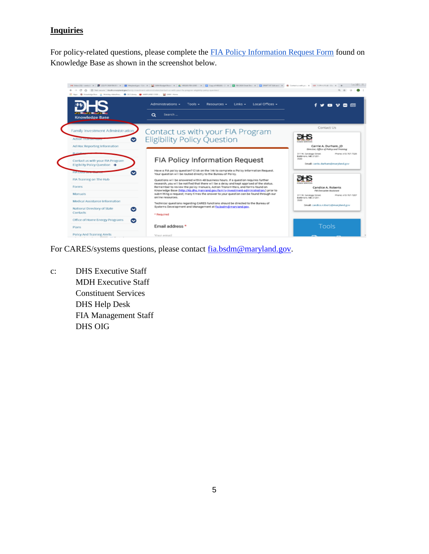# **Inquiries**

For policy-related questions, please complete the [FIA Policy Information Request Form](http://kb.dhs.maryland.gov/family-investment-administration/contact-us-with-your-fia-program-eligibility-policy-question/) found on Knowledge Base as shown in the screenshot below.



For CARES/systems questions, please contact [fia.bsdm@maryland.gov.](mailto:fia.bsdm@maryland.gov)

c: DHS Executive Staff MDH Executive Staff Constituent Services DHS Help Desk FIA Management Staff DHS OIG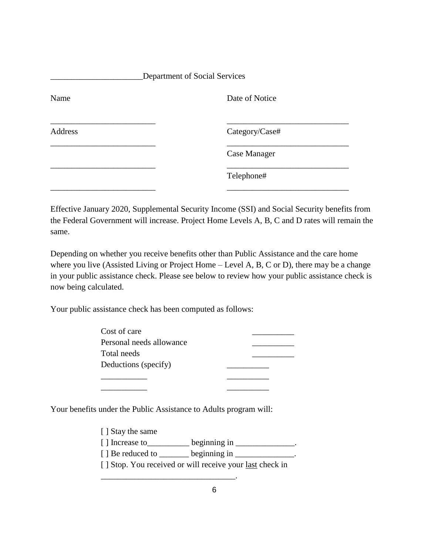| Department of Social Services |                |  |
|-------------------------------|----------------|--|
| Name                          | Date of Notice |  |
| Address                       | Category/Case# |  |
|                               | Case Manager   |  |
|                               | Telephone#     |  |
|                               |                |  |

Effective January 2020, Supplemental Security Income (SSI) and Social Security benefits from the Federal Government will increase. Project Home Levels A, B, C and D rates will remain the same.

Depending on whether you receive benefits other than Public Assistance and the care home where you live (Assisted Living or Project Home – Level A, B, C or D), there may be a change in your public assistance check. Please see below to review how your public assistance check is now being calculated.

Your public assistance check has been computed as follows:

| Cost of care             |  |
|--------------------------|--|
| Personal needs allowance |  |
| Total needs              |  |
| Deductions (specify)     |  |
|                          |  |

Your benefits under the Public Assistance to Adults program will:

[ ] Stay the same

\_\_\_\_\_\_\_\_\_\_\_ \_\_\_\_\_\_\_\_\_\_

 $[ ]$  Increase to \_\_\_\_\_\_\_\_\_\_ beginning in \_\_\_\_\_\_\_\_\_\_\_\_\_.

 $[ ]$  Be reduced to \_\_\_\_\_\_\_ beginning in \_\_\_\_\_\_\_\_\_\_\_\_\_.

\_\_\_\_\_\_\_\_\_\_\_\_\_\_\_\_\_\_\_\_\_\_\_\_\_\_\_\_\_\_\_\_.

[ ] Stop. You received or will receive your <u>last</u> check in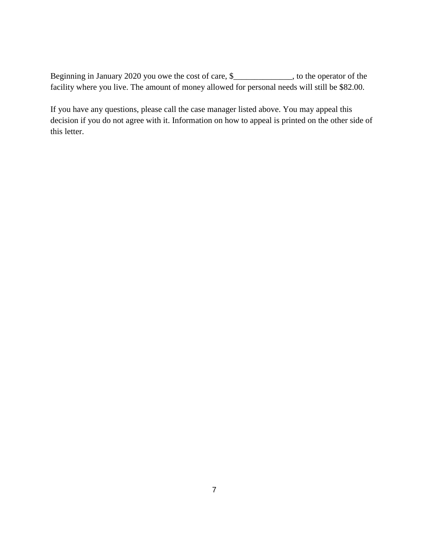Beginning in January 2020 you owe the cost of care, \$\_\_\_\_\_\_\_\_\_\_\_\_\_, to the operator of the facility where you live. The amount of money allowed for personal needs will still be \$82.00.

If you have any questions, please call the case manager listed above. You may appeal this decision if you do not agree with it. Information on how to appeal is printed on the other side of this letter.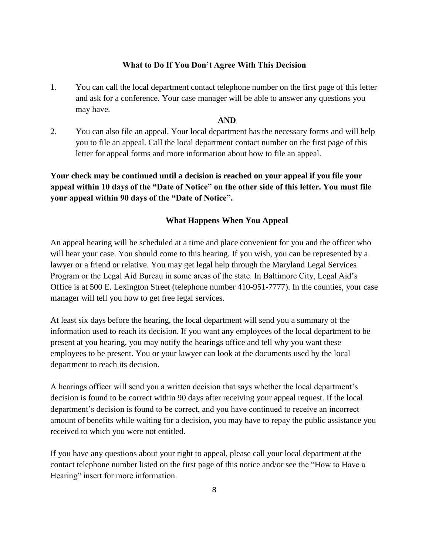#### **What to Do If You Don't Agree With This Decision**

1. You can call the local department contact telephone number on the first page of this letter and ask for a conference. Your case manager will be able to answer any questions you may have.

### **AND**

2. You can also file an appeal. Your local department has the necessary forms and will help you to file an appeal. Call the local department contact number on the first page of this letter for appeal forms and more information about how to file an appeal.

**Your check may be continued until a decision is reached on your appeal if you file your appeal within 10 days of the "Date of Notice" on the other side of this letter. You must file your appeal within 90 days of the "Date of Notice".** 

#### **What Happens When You Appeal**

An appeal hearing will be scheduled at a time and place convenient for you and the officer who will hear your case. You should come to this hearing. If you wish, you can be represented by a lawyer or a friend or relative. You may get legal help through the Maryland Legal Services Program or the Legal Aid Bureau in some areas of the state. In Baltimore City, Legal Aid's Office is at 500 E. Lexington Street (telephone number 410-951-7777). In the counties, your case manager will tell you how to get free legal services.

At least six days before the hearing, the local department will send you a summary of the information used to reach its decision. If you want any employees of the local department to be present at you hearing, you may notify the hearings office and tell why you want these employees to be present. You or your lawyer can look at the documents used by the local department to reach its decision.

A hearings officer will send you a written decision that says whether the local department's decision is found to be correct within 90 days after receiving your appeal request. If the local department's decision is found to be correct, and you have continued to receive an incorrect amount of benefits while waiting for a decision, you may have to repay the public assistance you received to which you were not entitled.

If you have any questions about your right to appeal, please call your local department at the contact telephone number listed on the first page of this notice and/or see the "How to Have a Hearing" insert for more information.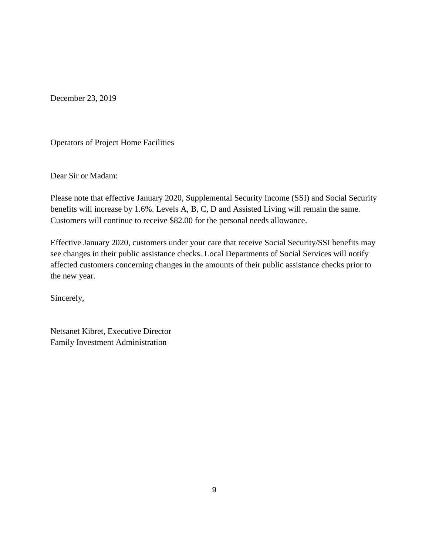December 23, 2019

Operators of Project Home Facilities

Dear Sir or Madam:

Please note that effective January 2020, Supplemental Security Income (SSI) and Social Security benefits will increase by 1.6%. Levels A, B, C, D and Assisted Living will remain the same. Customers will continue to receive \$82.00 for the personal needs allowance.

Effective January 2020, customers under your care that receive Social Security/SSI benefits may see changes in their public assistance checks. Local Departments of Social Services will notify affected customers concerning changes in the amounts of their public assistance checks prior to the new year.

Sincerely,

Netsanet Kibret, Executive Director Family Investment Administration